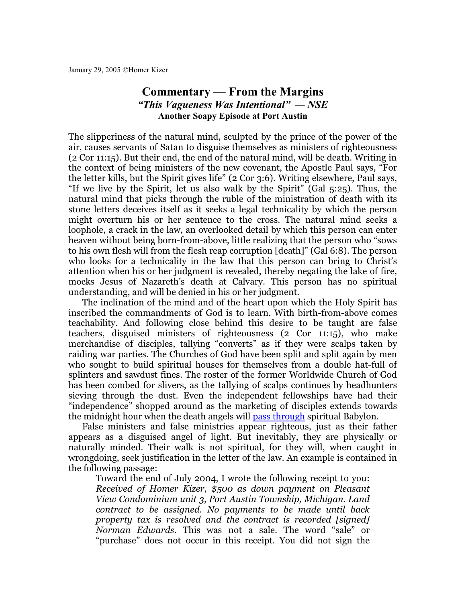## **Commentary** — **From the Margins** *"This Vagueness Was Intentional" — NSE* **Another Soapy Episode at Port Austin**

The slipperiness of the natural mind, sculpted by the prince of the power of the air, causes servants of Satan to disguise themselves as ministers of righteousness (2 Cor 11:15). But their end, the end of the natural mind, will be death. Writing in the context of being ministers of the new covenant, the Apostle Paul says, "For the letter kills, but the Spirit gives life" (2 Cor 3:6). Writing elsewhere, Paul says, "If we live by the Spirit, let us also walk by the Spirit" (Gal 5:25). Thus, the natural mind that picks through the ruble of the ministration of death with its stone letters deceives itself as it seeks a legal technicality by which the person might overturn his or her sentence to the cross. The natural mind seeks a loophole, a crack in the law, an overlooked detail by which this person can enter heaven without being born-from-above, little realizing that the person who "sows to his own flesh will from the flesh reap corruption [death]" (Gal 6:8). The person who looks for a technicality in the law that this person can bring to Christ's attention when his or her judgment is revealed, thereby negating the lake of fire, mocks Jesus of Nazareth's death at Calvary. This person has no spiritual understanding, and will be denied in his or her judgment.

The inclination of the mind and of the heart upon which the Holy Spirit has inscribed the commandments of God is to learn. With birth-from-above comes teachability. And following close behind this desire to be taught are false teachers, disguised ministers of righteousness (2 Cor 11:15), who make merchandise of disciples, tallying "converts" as if they were scalps taken by raiding war parties. The Churches of God have been split and split again by men who sought to build spiritual houses for themselves from a double hat-full of splinters and sawdust fines. The roster of the former Worldwide Church of God has been combed for slivers, as the tallying of scalps continues by headhunters sieving through the dust. Even the independent fellowships have had their "independence" shopped around as the marketing of disciples extends towards the midnight hour when the death angels will [pass through](http://secondpassover.homerkizer.org/) spiritual Babylon.

False ministers and false ministries appear righteous, just as their father appears as a disguised angel of light. But inevitably, they are physically or naturally minded. Their walk is not spiritual, for they will, when caught in wrongdoing, seek justification in the letter of the law. An example is contained in the following passage:

Toward the end of July 2004, I wrote the following receipt to you: *Received of Homer Kizer, \$500 as down payment on Pleasant View Condominium unit 3, Port Austin Township, Michigan. Land contract to be assigned. No payments to be made until back property tax is resolved and the contract is recorded [signed] Norman Edwards.* This was not a sale. The word "sale" or "purchase" does not occur in this receipt. You did not sign the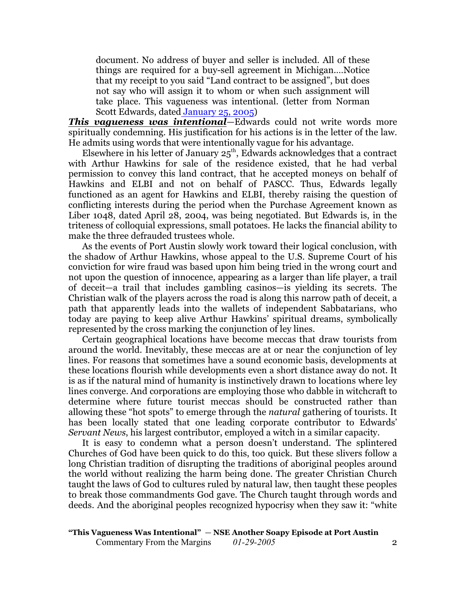document. No address of buyer and seller is included. All of these things are required for a buy-sell agreement in Michigan.…Notice that my receipt to you said "Land contract to be assigned", but does not say who will assign it to whom or when such assignment will take place. This vagueness was intentional. (letter from Norman Scott Edwards, date[d January 25, 2005](file:///|//Notice%20of%20Return%20of%20Unused%20Deposit%2001-25-05.pdf))

*This vagueness was intentional*—Edwards could not write words more spiritually condemning. His justification for his actions is in the letter of the law. He admits using words that were intentionally vague for his advantage.

Elsewhere in his letter of January  $25^{\text{th}}$ , Edwards acknowledges that a contract with Arthur Hawkins for sale of the residence existed, that he had verbal permission to convey this land contract, that he accepted moneys on behalf of Hawkins and ELBI and not on behalf of PASCC. Thus, Edwards legally functioned as an agent for Hawkins and ELBI, thereby raising the question of conflicting interests during the period when the Purchase Agreement known as Liber 1048, dated April 28, 2004, was being negotiated. But Edwards is, in the triteness of colloquial expressions, small potatoes. He lacks the financial ability to make the three defrauded trustees whole.

As the events of Port Austin slowly work toward their logical conclusion, with the shadow of Arthur Hawkins, whose appeal to the U.S. Supreme Court of his conviction for wire fraud was based upon him being tried in the wrong court and not upon the question of innocence, appearing as a larger than life player, a trail of deceit—a trail that includes gambling casinos—is yielding its secrets. The Christian walk of the players across the road is along this narrow path of deceit, a path that apparently leads into the wallets of independent Sabbatarians, who today are paying to keep alive Arthur Hawkins' spiritual dreams, symbolically represented by the cross marking the conjunction of ley lines.

Certain geographical locations have become meccas that draw tourists from around the world. Inevitably, these meccas are at or near the conjunction of ley lines. For reasons that sometimes have a sound economic basis, developments at these locations flourish while developments even a short distance away do not. It is as if the natural mind of humanity is instinctively drawn to locations where ley lines converge. And corporations are employing those who dabble in witchcraft to determine where future tourist meccas should be constructed rather than allowing these "hot spots" to emerge through the *natural* gathering of tourists. It has been locally stated that one leading corporate contributor to Edwards' *Servant News*, his largest contributor, employed a witch in a similar capacity.

It is easy to condemn what a person doesn't understand. The splintered Churches of God have been quick to do this, too quick. But these slivers follow a long Christian tradition of disrupting the traditions of aboriginal peoples around the world without realizing the harm being done. The greater Christian Church taught the laws of God to cultures ruled by natural law, then taught these peoples to break those commandments God gave. The Church taught through words and deeds. And the aboriginal peoples recognized hypocrisy when they saw it: "white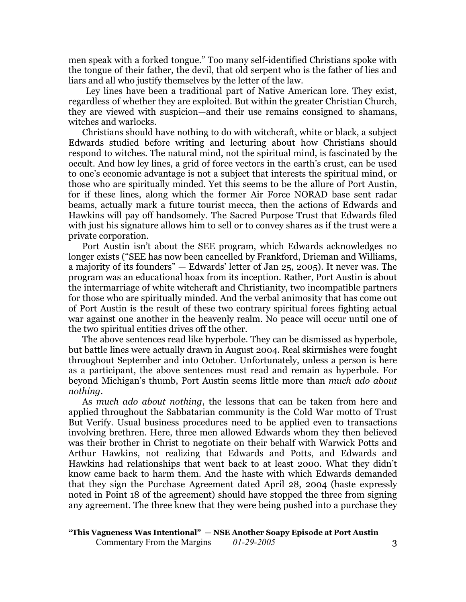men speak with a forked tongue." Too many self-identified Christians spoke with the tongue of their father, the devil, that old serpent who is the father of lies and liars and all who justify themselves by the letter of the law.

Ley lines have been a traditional part of Native American lore. They exist, regardless of whether they are exploited. But within the greater Christian Church, they are viewed with suspicion—and their use remains consigned to shamans, witches and warlocks.

Christians should have nothing to do with witchcraft, white or black, a subject Edwards studied before writing and lecturing about how Christians should respond to witches. The natural mind, not the spiritual mind, is fascinated by the occult. And how ley lines, a grid of force vectors in the earth's crust, can be used to one's economic advantage is not a subject that interests the spiritual mind, or those who are spiritually minded. Yet this seems to be the allure of Port Austin, for if these lines, along which the former Air Force NORAD base sent radar beams, actually mark a future tourist mecca, then the actions of Edwards and Hawkins will pay off handsomely. The Sacred Purpose Trust that Edwards filed with just his signature allows him to sell or to convey shares as if the trust were a private corporation.

Port Austin isn't about the SEE program, which Edwards acknowledges no longer exists ("SEE has now been cancelled by Frankford, Drieman and Williams, a majority of its founders" — Edwards' letter of Jan 25, 2005). It never was. The program was an educational hoax from its inception. Rather, Port Austin is about the intermarriage of white witchcraft and Christianity, two incompatible partners for those who are spiritually minded. And the verbal animosity that has come out of Port Austin is the result of these two contrary spiritual forces fighting actual war against one another in the heavenly realm. No peace will occur until one of the two spiritual entities drives off the other.

The above sentences read like hyperbole. They can be dismissed as hyperbole, but battle lines were actually drawn in August 2004. Real skirmishes were fought throughout September and into October. Unfortunately, unless a person is here as a participant, the above sentences must read and remain as hyperbole. For beyond Michigan's thumb, Port Austin seems little more than *much ado about nothing*.

As *much ado about nothing*, the lessons that can be taken from here and applied throughout the Sabbatarian community is the Cold War motto of Trust But Verify. Usual business procedures need to be applied even to transactions involving brethren. Here, three men allowed Edwards whom they then believed was their brother in Christ to negotiate on their behalf with Warwick Potts and Arthur Hawkins, not realizing that Edwards and Potts, and Edwards and Hawkins had relationships that went back to at least 2000. What they didn't know came back to harm them. And the haste with which Edwards demanded that they sign the Purchase Agreement dated April 28, 2004 (haste expressly noted in Point 18 of the agreement) should have stopped the three from signing any agreement. The three knew that they were being pushed into a purchase they

**"This Vagueness Was Intentional"** — **NSE Another Soapy Episode at Port Austin** Commentary From the Margins  $01-29-2005$  3